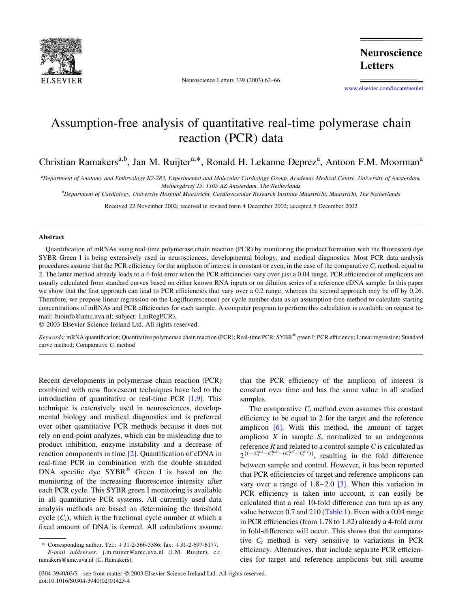

Neuroscience Letters 339 (2003) 62–66

**Neuroscience Letters** 

[www.elsevier.com/locate/neulet](http://www.elsevier.com/locate/neulet)

## Assumption-free analysis of quantitative real-time polymerase chain reaction (PCR) data

Christian Ramakers<sup>a,b</sup>, Jan M. Ruijter<sup>a,\*</sup>, Ronald H. Lekanne Deprez<sup>a</sup>, Antoon F.M. Moorman<sup>a</sup>

a Department of Anatomy and Embryology K2-283, Experimental and Molecular Cardiology Group, Academic Medical Centre, University of Amsterdam, Meibergdreef 15, 1105 AZ Amsterdam, The Netherlands

**b** Department of Cardiology, University Hospital Maastricht, Cardiovascular Research Institute Maastricht, Maastricht, The Netherlands

Received 22 November 2002; received in revised form 4 December 2002; accepted 5 December 2002

## Abstract

Quantification of mRNAs using real-time polymerase chain reaction (PCR) by monitoring the product formation with the fluorescent dye SYBR Green I is being extensively used in neurosciences, developmental biology, and medical diagnostics. Most PCR data analysis procedures assume that the PCR efficiency for the amplicon of interest is constant or even, in the case of the comparative  $C_t$  method, equal to 2. The latter method already leads to a 4-fold error when the PCR efficiencies vary over just a 0.04 range. PCR efficiencies of amplicons are usually calculated from standard curves based on either known RNA inputs or on dilution series of a reference cDNA sample. In this paper we show that the first approach can lead to PCR efficiencies that vary over a 0.2 range, whereas the second approach may be off by 0.26. Therefore, we propose linear regression on the Log(fluorescence) per cycle number data as an assumption-free method to calculate starting concentrations of mRNAs and PCR efficiencies for each sample. A computer program to perform this calculation is available on request (email: bioinfo@amc.uva.nl; subject: LinRegPCR).

 $©$  2003 Elsevier Science Ireland Ltd. All rights reserved.

Keywords: mRNA quantification; Quantitative polymerase chain reaction (PCR); Real-time PCR; SYBR® green I; PCR efficiency; Linear regression; Standard curve method; Comparative  $C_t$  method

Recent developments in polymerase chain reaction (PCR) combined with new fluorescent techniques have led to the introduction of quantitative or real-time PCR [\[1,9\].](#page-3-0) This technique is extensively used in neurosciences, developmental biology and medical diagnostics and is preferred over other quantitative PCR methods because it does not rely on end-point analyzes, which can be misleading due to product inhibition, enzyme instability and a decrease of reaction components in time [\[2\]](#page-3-0). Quantification of cDNA in real-time PCR in combination with the double stranded DNA specific dye  $SYBR^{\circledR}$  Green I is based on the monitoring of the increasing fluorescence intensity after each PCR cycle. This SYBR green I monitoring is available in all quantitative PCR systems. All currently used data analysis methods are based on determining the threshold cycle  $(C_t)$ , which is the fractional cycle number at which a fixed amount of DNA is formed. All calculations assume that the PCR efficiency of the amplicon of interest is constant over time and has the same value in all studied samples.

The comparative  $C_t$  method even assumes this constant efficiency to be equal to 2 for the target and the reference amplicon [\[6\].](#page-4-0) With this method, the amount of target amplicon  $X$  in sample  $S$ , normalized to an endogenous reference  $R$  and related to a control sample  $C$  is calculated as  $2^{\{(-C_t^{X,S} - C_t^{R,S}) - (C_t^{X,C} - C_t^{R,C})\}}$ , resulting in the fold difference between sample and control. However, it has been reported that PCR efficiencies of target and reference amplicons can vary over a range of  $1.8-2.0$  [\[3\]](#page-3-0). When this variation in PCR efficiency is taken into account, it can easily be calculated that a real 10-fold difference can turn up as any value between 0.7 and 210 [\(Table 1](#page-1-0)). Even with a 0.04 range in PCR efficiencies (from 1.78 to 1.82) already a 4-fold error in fold-difference will occur. This shows that the comparative  $C_t$  method is very sensitive to variations in PCR efficiency. Alternatives, that include separate PCR efficiencies for target and reference amplicons but still assume

<sup>\*</sup> Corresponding author. Tel.:  $+31-2-566-5386$ ; fax:  $+31-2-697-6177$ . E-mail addresses: j.m.ruijter@amc.uva.nl (J.M. Ruijter), c.r. ramakers@amc.uva.nl (C. Ramakers).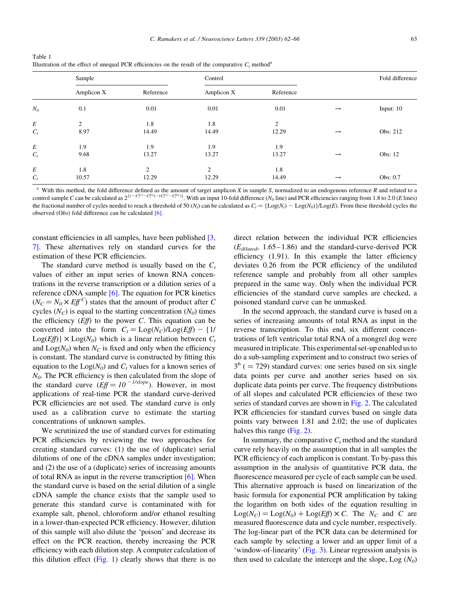<span id="page-1-0"></span>

| Table 1                                                                                                           |  |
|-------------------------------------------------------------------------------------------------------------------|--|
| Illustration of the effect of unequal PCR efficiencies on the result of the comparative $C_t$ method <sup>a</sup> |  |

|          | Sample         |                | Control    |                |               | Fold difference |
|----------|----------------|----------------|------------|----------------|---------------|-----------------|
|          | Amplicon X     | Reference      | Amplicon X | Reference      |               |                 |
| $N_0$    | 0.1            | 0.01           | 0.01       | 0.01           | $\rightarrow$ | Input: $10$     |
| $\cal E$ | $\overline{2}$ | 1.8            | 1.8        | $\overline{c}$ |               |                 |
| $C_t$    | 8.97           | 14.49          | 14.49      | 12.29          | $\rightarrow$ | Obs: 212        |
| $\cal E$ | 1.9            | 1.9            | 1.9        | 1.9            |               |                 |
| $C_t$    | 9.68           | 13.27          | 13.27      | 13.27          | $\rightarrow$ | Obs: 12         |
| $\cal E$ | 1.8            | $\overline{2}$ | 2          | 1.8            |               |                 |
| $C_t$    | 10.57          | 12.29          | 12.29      | 14.49          | $\rightarrow$ | Obs: 0.7        |

<sup>a</sup> With this method, the fold difference defined as the amount of target amplicon X in sample S, normalized to an endogenous reference R and related to a control sample C can be calculated as  $2^{((-C_t^{X,S})-(C_t^{X,C}-C_t^{R,C}))}$ . With an input 10-fold difference  $(N_0$  line) and PCR efficiencies ranging from 1.8 to 2.0 (E lines) the fractional number of cycles needed to reach a threshold of 50 (N<sub>t</sub>) can be calculated as  $C_t = {\text{Log}(N_t) - \text{Log}(N_t)}{\text{Log}(E)}$ . From these threshold cycles the observed (Obs) fold difference can be calculated [\[6\]](#page-4-0).

constant efficiencies in all samples, have been published [\[3,](#page-3-0) [7\].](#page-3-0) These alternatives rely on standard curves for the estimation of these PCR efficiencies.

The standard curve method is usually based on the  $C_t$ values of either an input series of known RNA concentrations in the reverse transcription or a dilution series of a reference cDNA sample [\[6\].](#page-4-0) The equation for PCR kinetics  $(N_C = N_0 \times E \cdot f^C)$  states that the amount of product after C cycles  $(N_C)$  is equal to the starting concentration  $(N<sub>0</sub>)$  times the efficiency  $(Eff)$  to the power C. This equation can be converted into the form  $C_t = \text{Log}(N_C)/\text{Log}(Eff) - \{1/$  $Log(Eff)$  ×  $Log(N_0)$  which is a linear relation between  $C_t$ and  $\text{Log}(N_0)$  when  $N_C$  is fixed and only when the efficiency is constant. The standard curve is constructed by fitting this equation to the  $\text{Log}(N_0)$  and  $C_t$  values for a known series of  $N<sub>0</sub>$ . The PCR efficiency is then calculated from the slope of the standard curve  $(Eff = 10^{-1/slope})$ . However, in most applications of real-time PCR the standard curve-derived PCR efficiencies are not used. The standard curve is only used as a calibration curve to estimate the starting concentrations of unknown samples.

We scrutinized the use of standard curves for estimating PCR efficiencies by reviewing the two approaches for creating standard curves: (1) the use of (duplicate) serial dilutions of one of the cDNA samples under investigation; and (2) the use of a (duplicate) series of increasing amounts of total RNA as input in the reverse transcription [\[6\].](#page-4-0) When the standard curve is based on the serial dilution of a single cDNA sample the chance exists that the sample used to generate this standard curve is contaminated with for example salt, phenol, chloroform and/or ethanol resulting in a lower-than-expected PCR efficiency. However, dilution of this sample will also dilute the 'poison' and decrease its effect on the PCR reaction, thereby increasing the PCR efficiency with each dilution step. A computer calculation of this dilution effect  $(Fig. 1)$  $(Fig. 1)$  clearly shows that there is no

direct relation between the individual PCR efficiencies  $(E_{diluted}, 1.65-1.86)$  and the standard-curve-derived PCR efficiency (1.91). In this example the latter efficiency deviates 0.26 from the PCR efficiency of the undiluted reference sample and probably from all other samples prepared in the same way. Only when the individual PCR efficiencies of the standard curve samples are checked, a poisoned standard curve can be unmasked.

In the second approach, the standard curve is based on a series of increasing amounts of total RNA as input in the reverse transcription. To this end, six different concentrations of left ventricular total RNA of a mongrel dog were measured in triplicate. This experimental set-up enabled us to do a sub-sampling experiment and to construct two series of  $3<sup>6</sup>$  ( = 729) standard curves: one series based on six single data points per curve and another series based on six duplicate data points per curve. The frequency distributions of all slopes and calculated PCR efficiencies of these two series of standard curves are shown in [Fig. 2](#page-2-0). The calculated PCR efficiencies for standard curves based on single data points vary between 1.81 and 2.02; the use of duplicates halves this range ([Fig. 2\)](#page-2-0).

In summary, the comparative  $C_t$  method and the standard curve rely heavily on the assumption that in all samples the PCR efficiency of each amplicon is constant. To by-pass this assumption in the analysis of quantitative PCR data, the fluorescence measured per cycle of each sample can be used. This alternative approach is based on linearization of the basic formula for exponential PCR amplification by taking the logarithm on both sides of the equation resulting in  $Log(N_C) = Log(N_0) + Log(Ef) \times C$ . The  $N_C$  and C are measured fluorescence data and cycle number, respectively. The log-linear part of the PCR data can be determined for each sample by selecting a lower and an upper limit of a 'window-of-linearity' ([Fig. 3](#page-3-0)). Linear regression analysis is then used to calculate the intercept and the slope,  $Log(N_0)$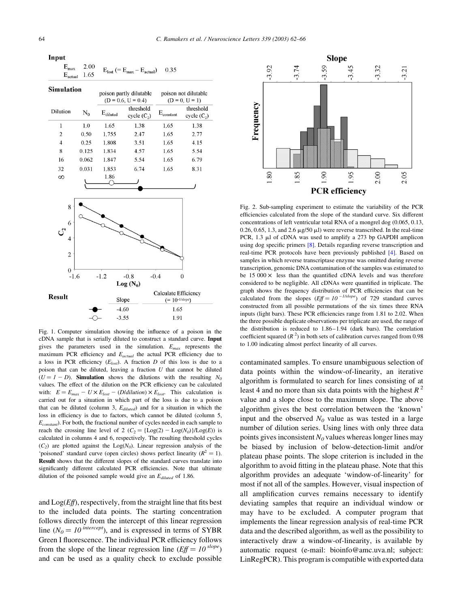<span id="page-2-0"></span>Input

| $E_{max}$<br>$E_{actual}$ | 2.00<br>1.65 |                                                 | $E_{\text{lost}}$ (= $E_{\text{max}} - E_{\text{actual}}$ ) | 0.35                                     |                            |
|---------------------------|--------------|-------------------------------------------------|-------------------------------------------------------------|------------------------------------------|----------------------------|
| <b>Simulation</b>         |              | poison partly dilutable<br>$(D = 0.6, U = 0.4)$ |                                                             | poison not dilutable<br>$(D = 0, U = 1)$ |                            |
| Dilution                  | $\rm N_{0}$  | $E_{\text{diluted}}$                            | threshold<br>cycle (C <sub>2</sub> )                        | $\rm E_{constant}$                       | threshold<br>cycle $(C_2)$ |
| 1                         | 1.0          | 1.65                                            | 1.38                                                        | 1.65                                     | 1.38                       |
| $\overline{2}$            | 0.50         | 1.755                                           | 2.47                                                        | 1.65                                     | 2.77                       |
| 4                         | 0.25         | 1.808                                           | 3.51                                                        | 1.65                                     | 4.15                       |



Fig. 1. Computer simulation showing the influence of a poison in the cDNA sample that is serially diluted to construct a standard curve. Input gives the parameters used in the simulation.  $E_{max}$  represents the maximum PCR efficiency and  $E_{actual}$  the actual PCR efficiency due to a loss in PCR efficiency  $(E_{lost})$ . A fraction D of this loss is due to a poison that can be diluted, leaving a fraction  $U$  that cannot be diluted  $(U = 1 - D)$ . Simulation shows the dilutions with the resulting  $N_0$ values. The effect of the dilution on the PCR efficiency can be calculated with:  $E = E_{max} - U \times E_{lost} - (D/dilution) \times E_{lost}$ . This calculation is carried out for a situation in which part of the loss is due to a poison that can be diluted (column 3,  $E_{diluted}$ ) and for a situation in which the loss in efficiency is due to factors, which cannot be diluted (column 5,  $E_{constant}$ ). For both, the fractional number of cycles needed in each sample to reach the crossing line level of 2 ( $C_2 = {\text{Log}(2) - \text{Log}(N_0)} / \text{Log}(E)$ ) is calculated in columns 4 and 6, respectively. The resulting threshold cycles  $(C_2)$  are plotted against the Log( $N_0$ ). Linear regression analysis of the 'poisoned' standard curve (open circles) shows perfect linearity ( $R^2 = 1$ ). Result shows that the different slopes of the standard curves translate into significantly different calculated PCR efficiencies. Note that ultimate dilution of the poisoned sample would give an  $E_{diluted}$  of 1.86.

and  $Log(Eff)$ , respectively, from the straight line that fits best to the included data points. The starting concentration follows directly from the intercept of this linear regression line ( $N_0 = 10^{intercept}$ ), and is expressed in terms of SYBR Green I fluorescence. The individual PCR efficiency follows from the slope of the linear regression line ( $Eff = 10^{slope}$ ) and can be used as a quality check to exclude possible



Fig. 2. Sub-sampling experiment to estimate the variability of the PCR efficiencies calculated from the slope of the standard curve. Six different concentrations of left ventricular total RNA of a mongrel dog (0.065, 0.13, 0.26, 0.65, 1.3, and 2.6  $\mu$ g/50  $\mu$ l) were reverse transcribed. In the real-time PCR,  $1.3 \mu$ l of cDNA was used to amplify a 273 bp GAPDH amplicon using dog specific primers [\[8\].](#page-4-0) Details regarding reverse transcription and real-time PCR protocols have been previously published [\[4\]](#page-3-0). Based on samples in which reverse transcriptase enzyme was omitted during reverse transcription, genomic DNA contamination of the samples was estimated to be 15 000  $\times$  less than the quantified cDNA levels and was therefore considered to be negligible. All cDNAs were quantified in triplicate. The graph shows the frequency distribution of PCR efficiencies that can be calculated from the slopes  $(Eff = 10^{-1/slope})$  of 729 standard curves constructed from all possible permutations of the six times three RNA inputs (light bars). These PCR efficiencies range from 1.81 to 2.02. When the three possible duplicate observations per triplicate are used, the range of the distribution is reduced to 1.86–1.94 (dark bars). The correlation coefficient squared  $(R^2)$  in both sets of calibration curves ranged from 0.98 to 1.00 indicating almost perfect linearity of all curves.

contaminated samples. To ensure unambiguous selection of data points within the window-of-linearity, an iterative algorithm is formulated to search for lines consisting of at least 4 and no more than six data points with the highest  $R^2$ value and a slope close to the maximum slope. The above algorithm gives the best correlation between the 'known' input and the observed  $N<sub>0</sub>$  value as was tested in a large number of dilution series. Using lines with only three data points gives inconsistent  $N<sub>0</sub>$  values whereas longer lines may be biased by inclusion of below-detection-limit and/or plateau phase points. The slope criterion is included in the algorithm to avoid fitting in the plateau phase. Note that this algorithm provides an adequate 'window-of-linearity' for most if not all of the samples. However, visual inspection of all amplification curves remains necessary to identify deviating samples that require an individual window or may have to be excluded. A computer program that implements the linear regression analysis of real-time PCR data and the described algorithm, as well as the possibility to interactively draw a window-of-linearity, is available by automatic request (e-mail: bioinfo@amc.uva.nl; subject: LinRegPCR). This program is compatible with exported data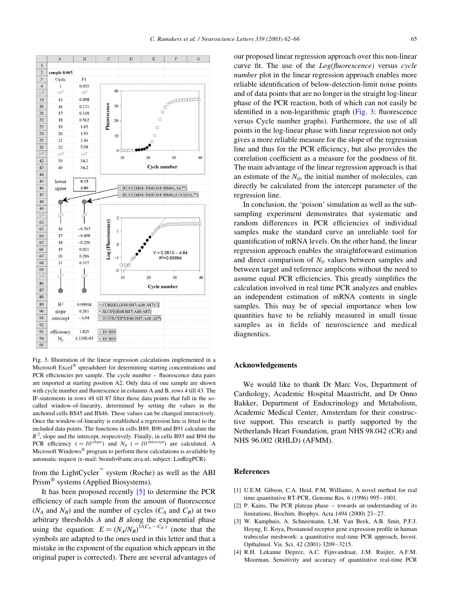<span id="page-3-0"></span>

Fig. 3. Illustration of the linear regression calculations implemented in a Microsoft Excel<sup>®</sup> spreadsheet for determining starting concentrations and PCR efficiencies per sample. The cycle number – fluorescence data pairs are imported at starting position A2. Only data of one sample are shown with cycle number and fluorescence in columns A and B, rows 4 till 43. The IF-statements in rows 48 till 87 filter those data points that fall in the socalled window-of-linearity, determined by setting the values in the anchored cells B\$45 and B\$46. These values can be changed interactively. Once the window-of-linearity is established a regression line is fitted to the included data points. The functions in cells B89, B90 and B91 calculate the  $R<sup>2</sup>$ , slope and the intercept, respectively. Finally, in cells B93 and B94 the PCR efficiency (=  $10^{slope}$ ) and  $N_0$  (=  $10^{intercept}$ ) are calculated. A Microsoft Windows® program to perform these calculations is available by automatic request (e-mail: bioinfo@amc.uva.nl; subject: LinRegPCR).

from the LightCycler<sup> $\infty$ </sup> system (Roche) as well as the ABI Prism<sup>®</sup> systems (Applied Biosystems).

It has been proposed recently [\[5\]](#page-4-0) to determine the PCR efficiency of each sample from the amount of fluorescence  $(N_A \text{ and } N_B)$  and the number of cycles  $(C_A \text{ and } C_B)$  at two arbitrary thresholds  $A$  and  $B$  along the exponential phase using the equation:  $E = (N_A/N_B)^{1/(C_A - C_B)}$  (note that the symbols are adapted to the ones used in this letter and that a mistake in the exponent of the equation which appears in the original paper is corrected). There are several advantages of our proposed linear regression approach over this non-linear curve fit. The use of the Log(fluorescence) versus cycle number plot in the linear regression approach enables more reliable identification of below-detection-limit noise points and of data points that are no longer in the straight log-linear phase of the PCR reaction, both of which can not easily be identified in a non-logarithmic graph (Fig. 3: fluorescence versus Cycle number graphs). Furthermore, the use of all points in the log-linear phase with linear regression not only gives a more reliable measure for the slope of the regression line and thus for the PCR efficiency, but also provides the correlation coefficient as a measure for the goodness of fit. The main advantage of the linear regression approach is that an estimate of the  $N<sub>0</sub>$ , the initial number of molecules, can directly be calculated from the intercept parameter of the regression line.

In conclusion, the 'poison' simulation as well as the subsampling experiment demonstrates that systematic and random differences in PCR efficiencies of individual samples make the standard curve an unreliable tool for quantification of mRNA levels. On the other hand, the linear regression approach enables the straightforward estimation and direct comparison of  $N<sub>0</sub>$  values between samples and between target and reference amplicons without the need to assume equal PCR efficiencies. This greatly simplifies the calculation involved in real time PCR analyzes and enables an independent estimation of mRNA contents in single samples. This may be of special importance when low quantities have to be reliably measured in small tissue samples as in fields of neuroscience and medical diagnostics.

## Acknowledgements

We would like to thank Dr Marc Vos, Department of Cardiology, Academic Hospital Maastricht, and Dr Onno Bakker, Department of Endocrinology and Metabolism, Academic Medical Center, Amsterdam for their constructive support. This research is partly supported by the Netherlands Heart Foundation, grant NHS 98.042 (CR) and NHS 96.002 (RHLD) (AFMM).

## References

- [1] U.E.M. Gibson, C.A. Heid, P.M. Williams, A novel method for real time quantitative RT-PCR, Genome Res. 6 (1996) 995–1001.
- [2] P. Kains, The PCR plateau phase towards an understanding of its limitations, Biochim. Biophys. Acta 1494 (2000) 23–27.
- [3] W. Kamphuis, A. Schneemann, L.M. Van Beek, A.B. Smit, P.F.J. Hoyng, E. Koya, Prostanoid receptor gene expression profile in human trabecular meshwork: a quantitative real-time PCR approach, Invest. Opthalmol. Vis. Sci. 42 (2001) 3209–3215.
- [4] R.H. Lekanne Deprez, A.C. Fijnvandraat, J.M. Ruijter, A.F.M. Moorman, Sensitivity and accuracy of quantitative real-time PCR